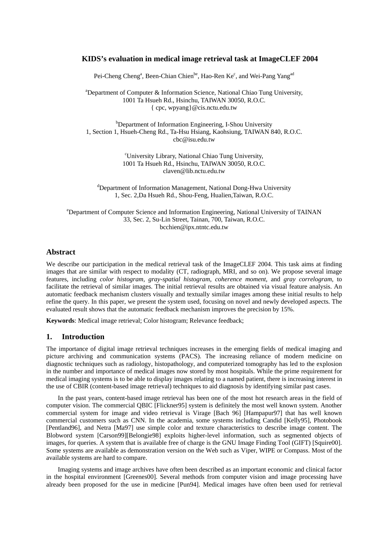## **KIDS's evaluation in medical image retrieval task at ImageCLEF 2004**

Pei-Cheng Cheng<sup>a</sup>, Been-Chian Chien<sup>be</sup>, Hao-Ren Ke<sup>c</sup>, and Wei-Pang Yang<sup>ad</sup>

<sup>a</sup>Department of Computer & Information Science, National Chiao Tung University, 1001 Ta Hsueh Rd., Hsinchu, TAIWAN 30050, R.O.C. { cpc, wpyang}@cis.nctu.edu.tw

<sup>b</sup>Department of Information Engineering, I-Shou University 1, Section 1, Hsueh-Cheng Rd., Ta-Hsu Hsiang, Kaohsiung, TAIWAN 840, R.O.C. cbc@isu.edu.tw

> c University Library, National Chiao Tung University, 1001 Ta Hsueh Rd., Hsinchu, TAIWAN 30050, R.O.C. claven@lib.nctu.edu.tw

<sup>d</sup>Department of Information Management, National Dong-Hwa University 1, Sec. 2,Da Hsueh Rd., Shou-Feng, Hualien,Taiwan, R.O.C.

e Department of Computer Science and Information Engineering, National University of TAINAN 33, Sec. 2, Su-Lin Street, Tainan, 700, Taiwan, R.O.C. bcchien@ipx.ntntc.edu.tw

## **Abstract**

We describe our participation in the medical retrieval task of the ImageCLEF 2004. This task aims at finding images that are similar with respect to modality (CT, radiograph, MRI, and so on). We propose several image features, including *color histogram, gray-spatial histogram*, *coherence moment*, and *gray correlogram*, to facilitate the retrieval of similar images. The initial retrieval results are obtained via visual feature analysis. An automatic feedback mechanism clusters visually and textually similar images among these initial results to help refine the query. In this paper, we present the system used, focusing on novel and newly developed aspects. The evaluated result shows that the automatic feedback mechanism improves the precision by 15%.

**Keywords**: Medical image retrieval; Color histogram; Relevance feedback;

# **1. Introduction**

The importance of digital image retrieval techniques increases in the emerging fields of medical imaging and picture archiving and communication systems (PACS). The increasing reliance of modern medicine on diagnostic techniques such as radiology, histopathology, and computerized tomography has led to the explosion in the number and importance of medical images now stored by most hospitals. While the prime requirement for medical imaging systems is to be able to display images relating to a named patient, there is increasing interest in the use of CBIR (content-based image retrieval) techniques to aid diagnosis by identifying similar past cases.

In the past years, content-based image retrieval has been one of the most hot research areas in the field of computer vision. The commercial QBIC [Flickner95] system is definitely the most well known system. Another commercial system for image and video retrieval is Virage [Bach 96] [Hampapur97] that has well known commercial customers such as CNN. In the academia, some systems including Candid [Kelly95], Photobook [Pentland96], and Netra [Ma97] use simple color and texture characteristics to describe image content. The Blobword system [Carson99][Belongie98] exploits higher-level information, such as segmented objects of images, for queries. A system that is available free of charge is the GNU Image Finding Tool (GIFT) [Squire00]. Some systems are available as demonstration version on the Web such as Viper, WIPE or Compass. Most of the available systems are hard to compare.

Imaging systems and image archives have often been described as an important economic and clinical factor in the hospital environment [Greenes00]. Several methods from computer vision and image processing have already been proposed for the use in medicine [Pun94]. Medical images have often been used for retrieval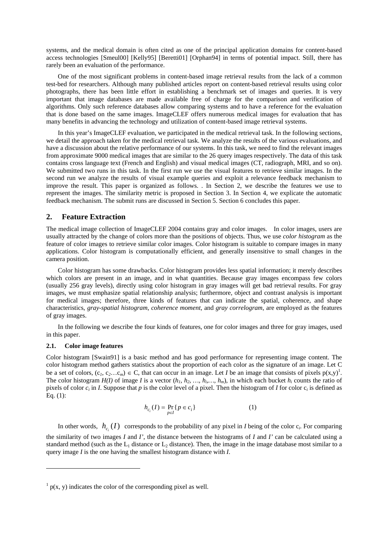systems, and the medical domain is often cited as one of the principal application domains for content-based access technologies [Smeul00] [Kelly95] [Beretti01] [Orphan94] in terms of potential impact. Still, there has rarely been an evaluation of the performance.

One of the most significant problems in content-based image retrieval results from the lack of a common test-bed for researchers. Although many published articles report on content-based retrieval results using color photographs, there has been little effort in establishing a benchmark set of images and queries. It is very important that image databases are made available free of charge for the comparison and verification of algorithms. Only such reference databases allow comparing systems and to have a reference for the evaluation that is done based on the same images. ImageCLEF offers numerous medical images for evaluation that has many benefits in advancing the technology and utilization of content-based image retrieval systems.

In this year's ImageCLEF evaluation, we participated in the medical retrieval task. In the following sections, we detail the approach taken for the medical retrieval task. We analyze the results of the various evaluations, and have a discussion about the relative performance of our systems. In this task, we need to find the relevant images from approximate 9000 medical images that are similar to the 26 query images respectively. The data of this task contains cross language text (French and English) and visual medical images (CT, radiograph, MRI, and so on). We submitted two runs in this task. In the first run we use the visual features to retrieve similar images. In the second run we analyze the results of visual example queries and exploit a relevance feedback mechanism to improve the result. This paper is organized as follows. . In Section 2, we describe the features we use to represent the images. The similarity metric is proposed in Section 3. In Section 4, we explicate the automatic feedback mechanism. The submit runs are discussed in Section 5. Section 6 concludes this paper.

### **2. Feature Extraction**

The medical image collection of ImageCLEF 2004 contains gray and color images. In color images, users are usually attracted by the change of colors more than the positions of objects. Thus, we use *color histogram* as the feature of color images to retrieve similar color images. Color histogram is suitable to compare images in many applications. Color histogram is computationally efficient, and generally insensitive to small changes in the camera position.

Color histogram has some drawbacks. Color histogram provides less spatial information; it merely describes which colors are present in an image, and in what quantities. Because gray images encompass few colors (usually 256 gray levels), directly using color histogram in gray images will get bad retrieval results. For gray images, we must emphasize spatial relationship analysis; furthermore, object and contrast analysis is important for medical images; therefore, three kinds of features that can indicate the spatial, coherence, and shape characteristics, *gray-spatial histogram*, *coherence moment*, and *gray correlogram*, are employed as the features of gray images.

In the following we describe the four kinds of features, one for color images and three for gray images, used in this paper.

#### **2.1. Color image features**

 $\overline{a}$ 

Color histogram [Swain91] is a basic method and has good performance for representing image content. The color histogram method gathers statistics about the proportion of each color as the signature of an image. Let C be a set of colors,  $(c_1, c_2...c_m) \in C$  $(c_1, c_2...c_m) \in C$  $(c_1, c_2...c_m) \in C$ , that can occur in an image. Let *I* be an image that consists of pixels  $p(x,y)$ <sup>1</sup>. The color histogram  $H(I)$  of image *I* is a vector  $(h_1, h_2, ..., h_i, ..., h_m)$ , in which each bucket  $h_i$  counts the ratio of pixels of color  $c_i$  in *I*. Suppose that *p* is the color level of a pixel. Then the histogram of *I* for color  $c_i$  is defined as Eq. (1):

$$
h_{c_i}(I) = \Pr_{p \in I} \{ p \in c_i \}
$$
 (1)

In other words,  $h_c(I)$  corresponds to the probability of any pixel in *I* being of the color  $c_i$ . For comparing the similarity of two images *I* and *I'*, the distance between the histograms of *I* and *I'* can be calculated using a standard method (such as the  $L_1$  distance or  $L_2$  distance). Then, the image in the image database most similar to a query image *I* is the one having the smallest histogram distance with *I*.

<span id="page-1-0"></span> $1 p(x, y)$  indicates the color of the corresponding pixel as well.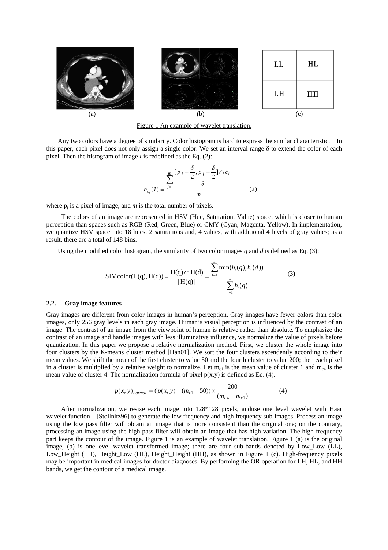

<span id="page-2-0"></span>Figure 1 An example of wavelet translation.

Any two colors have a degree of similarity. Color histogram is hard to express the similar characteristic. In this paper, each pixel does not only assign a single color. We set an interval range δ to extend the color of each pixel. Then the histogram of image *I* is redefined as the Eq. (2):

$$
h_{c_i}(I) = \frac{\sum_{j=1}^{m} \frac{[p_j - \frac{\delta}{2}, p_j + \frac{\delta}{2}] \cap c_i}{\delta}}{m}
$$
 (2)

where  $p_i$  is a pixel of image, and  $m$  is the total number of pixels.

The colors of an image are represented in HSV (Hue, Saturation, Value) space, which is closer to human perception than spaces such as RGB (Red, Green, Blue) or CMY (Cyan, Magenta, Yellow). In implementation, we quantize HSV space into 18 hues, 2 saturations and, 4 values, with additional 4 levels of gray values; as a result, there are a total of 148 bins.

Using the modified color histogram, the similarity of two color images *q* and *d* is defined as Eq. (3):

SIMcolor(H(q), H(d)) = 
$$
\frac{H(q) \cap H(d)}{|H(q)|} = \frac{\sum_{i=1}^{n} \min(h_i(q), h_i(d))}{\sum_{i=1}^{n} h_i(q)}
$$
(3)

### **2.2. Gray image features**

Gray images are different from color images in human's perception. Gray images have fewer colors than color images, only 256 gray levels in each gray image. Human's visual perception is influenced by the contrast of an image. The contrast of an image from the viewpoint of human is relative rather than absolute. To emphasize the contrast of an image and handle images with less illuminative influence, we normalize the value of pixels before quantization. In this paper we propose a relative normalization method. First, we cluster the whole image into four clusters by the K-means cluster method [Han01]. We sort the four clusters ascendently according to their mean values. We shift the mean of the first cluster to value 50 and the fourth cluster to value 200; then each pixel in a cluster is multiplied by a relative weight to normalize. Let  $m_{c1}$  is the mean value of cluster 1 and  $m_{c4}$  is the mean value of cluster 4. The normalization formula of pixel  $p(x,y)$  is defined as Eq. (4).

$$
p(x, y)_{normal} = (p(x, y) - (m_{c1} - 50)) \times \frac{200}{(m_{c4} - m_{c1})}
$$
(4)

After normalization, we resize each image into 128\*128 pixels, anduse one level wavelet with Haar wavelet function [Stollnitz96] to generate the low frequency and high frequency sub-images. Process an image using the low pass filter will obtain an image that is more consistent than the original one; on the contrary, processing an image using the high pass filter will obtain an image that has high variation. The high-frequency part keeps the contour of the image. [Figure 1](#page-2-0) is an example of wavelet translation. Figure 1 (a) is the original image, (b) is one-level wavelet transformed image; there are four sub-bands denoted by Low Low (LL), Low Height (LH), Height Low (HL), Height Height (HH), as shown in [Figure 1](#page-2-0) (c). High-frequency pixels may be important in medical images for doctor diagnoses. By performing the OR operation for LH, HL, and HH bands, we get the contour of a medical image.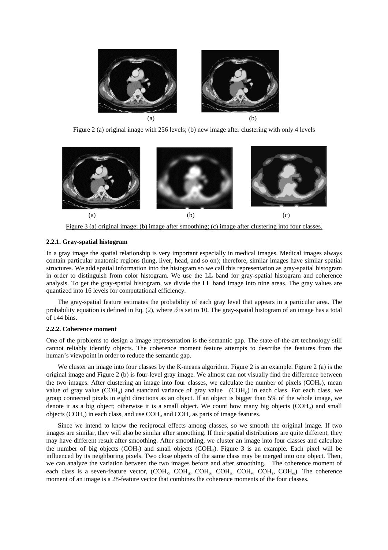

<span id="page-3-0"></span>Figure 2 (a) original image with 256 levels; (b) new image after clustering with only 4 levels



<span id="page-3-1"></span>Figure 3 (a) original image; (b) image after smoothing; (c) image after clustering into four classes.

### **2.2.1. Gray-spatial histogram**

In a gray image the spatial relationship is very important especially in medical images. Medical images always contain particular anatomic regions (lung, liver, head, and so on); therefore, similar images have similar spatial structures. We add spatial information into the histogram so we call this representation as gray-spatial histogram in order to distinguish from color histogram. We use the LL band for gray-spatial histogram and coherence analysis. To get the gray-spatial histogram, we divide the LL band image into nine areas. The gray values are quantized into 16 levels for computational efficiency.

The gray-spatial feature estimates the probability of each gray level that appears in a particular area. The probability equation is defined in Eq. (2), where  $\delta$  is set to 10. The gray-spatial histogram of an image has a total of 144 bins.

#### **2.2.2. Coherence moment**

One of the problems to design a image representation is the semantic gap. The state-of-the-art technology still cannot reliably identify objects. The coherence moment feature attempts to describe the features from the human's viewpoint in order to reduce the semantic gap.

We cluster an image into four classes by the K-means algorithm. [Figure 2](#page-3-0) is an example. [Figure 2](#page-3-0) (a) is the original image and [Figure 2](#page-3-0) (b) is four-level gray image. We almost can not visually find the difference between the two images. After clustering an image into four classes, we calculate the number of pixels ( $COH<sub>k</sub>$ ), mean value of gray value (COH<sub>n</sub>) and standard variance of gray value (COH<sub>0</sub>) in each class. For each class, we group connected pixels in eight directions as an object. If an object is bigger than 5% of the whole image, we denote it as a big object; otherwise it is a small object. We count how many big objects  $(COH<sub>o</sub>)$  and small objects (COH<sub>v</sub>) in each class, and use  $COH<sub>o</sub>$  and  $COH<sub>v</sub>$  as parts of image features.

Since we intend to know the reciprocal effects among classes, so we smooth the original image. If two images are similar, they will also be similar after smoothing. If their spatial distributions are quite different, they may have different result after smoothing. After smoothing, we cluster an image into four classes and calculate the number of big objects (COH<sub>r</sub>) and small objects (COH<sub>ω</sub>). [Figure 3](#page-3-1) is an example. Each pixel will be influenced by its neighboring pixels. Two close objects of the same class may be merged into one object. Then, we can analyze the variation between the two images before and after smoothing. The coherence moment of each class is a seven-feature vector,  $(COH<sub>k</sub>, COH<sub>u</sub>, COH<sub>o</sub>, COH<sub>o</sub>, COH<sub>v</sub>, COH<sub>u</sub>$ ,  $COH<sub>u</sub>$ ,  $COH<sub>u</sub>$ ). The coherence moment of an image is a 28-feature vector that combines the coherence moments of the four classes.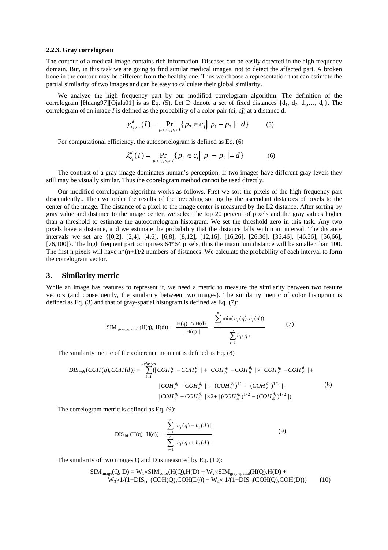#### **2.2.3. Gray correlogram**

The contour of a medical image contains rich information. Diseases can be easily detected in the high frequency domain. But, in this task we are going to find similar medical images, not to detect the affected part. A broken bone in the contour may be different from the healthy one. Thus we choose a representation that can estimate the partial similarity of two images and can be easy to calculate their global similarity.

We analyze the high frequency part by our modified correlogram algorithm. The definition of the correlogram [Huang97][Ojala01] is as Eq. (5). Let D denote a set of fixed distances  $\{d_1, d_2, d_3, \ldots, d_n\}$ . The correlogram of an image *I* is defined as the probability of a color pair (ci, cj) at a distance d.

$$
\gamma_{c_i, c_j}^d(I) = \Pr_{p_1 \in c_i, p_2 \in I} \{ p_2 \in c_j \mid p_1 - p_2 \mid = d \}
$$
 (5)

For computational efficiency, the autocorrelogram is defined as Eq. (6)

$$
\lambda_{c_i}^d(I) = \Pr_{p_1 \in c_i, p_2 \in I} \{ p_2 \in c_i \mid p_1 - p_2 \mid = d \}
$$
 (6)

The contrast of a gray image dominates human's perception. If two images have different gray levels they still may be visually similar. Thus the coorelogram method cannot be used directly.

Our modified correlogram algorithm works as follows. First we sort the pixels of the high frequency part descendently.. Then we order the results of the preceding sorting by the ascendant distances of pixels to the center of the image. The distance of a pixel to the image center is measured by the L2 distance. After sorting by gray value and distance to the image center, we select the top 20 percent of pixels and the gray values higher than a threshold to estimate the autocorrelogram histogram. We set the threshold zero in this task. Any two pixels have a distance, and we estimate the probability that the distance falls within an interval. The distance intervals we set are {[0,2], [2,4], [4,6], [6,8], [8,12], [12,16], [16,26], [26,36], [36,46], [46,56], [56,66], [76,100]]. The high frequent part comprises 64\*64 pixels, thus the maximum distance will be smaller than 100. The first n pixels will have  $n*(n+1)/2$  numbers of distances. We calculate the probability of each interval to form the correlogram vector.

## **3. Similarity metric**

While an image has features to represent it, we need a metric to measure the similarity between two feature vectors (and consequently, the similarity between two images). The similarity metric of color histogram is defined as Eq. (3) and that of gray-spatial histogram is defined as Eq. (7):

SIM <sub>gray\_spati al</sub> (H(q), H(d)) = 
$$
\frac{H(q) \cap H(d)}{|H(q)|} = \frac{\sum_{i=1}^{n} \min(h_i(q), h_i(d))}{\sum_{i=1}^{n} h_i(q)}
$$
(7)

The similarity metric of the coherence moment is defined as Eq. (8)

$$
DIS_{coh}(COH(q),COH(d)) = \sum_{i=1}^{4 classes} (|COH_{\kappa}^{q_i} - COH_{\kappa}^{d_i}| + |COH_{\mu}^{q_i} - COH_{\mu}^{d_i}| \times |COH_{\rho}^{q_i} - COH_{\rho}^{d_i}| +
$$
  
\n
$$
|COH_{\sigma}^{q_i} - COH_{\sigma}^{d_i}| + |(COH_{\nu}^{q_i})^{1/2} - (COH_{\nu}^{d_i})^{1/2}| +
$$
  
\n
$$
|COH_{\tau}^{q_i} - COH_{\tau}^{d_i}| \times 2 + |(COH_{\sigma}^{q_i})^{1/2} - (COH_{\sigma}^{d_i})^{1/2}|)
$$
\n(8)

The correlogram metric is defined as Eq. (9):

$$
\text{DIS}_{\text{hf}}\left(H(q),\ H(d)\right) = \frac{\sum_{i=1}^{n} |h_i(q) - h_i(d)|}{\sum_{i=1}^{n} |h_i(q) + h_i(d)|}
$$
(9)

The similarity of two images Q and D is measured by Eq. (10):

$$
SIM_{image}(Q, D) = W_1 \times SIM_{color}(H(Q), H(D) + W_2 \times SIM_{gray-spatial}(H(Q), H(D) + W_3 \times 1/(1+DIS_{coh}(COH(Q), COH(D))) + W_4 \times 1/(1+DIS_{hf}(COH(Q), COH(D)))
$$
 (10)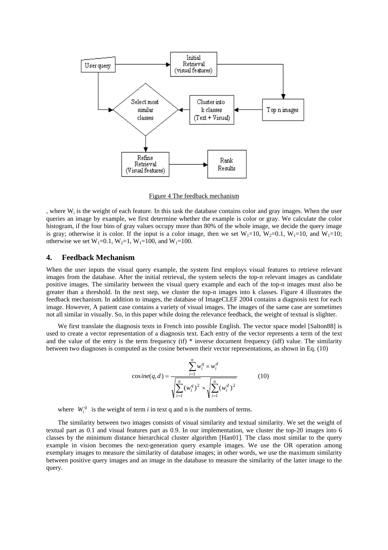

<span id="page-5-0"></span>Figure 4 The feedback mechanism

, where Wi is the weight of each feature. In this task the database contains color and gray images. When the user queries an image by example, we first determine whether the example is color or gray. We calculate the color histogram, if the four bins of gray values occupy more than 80% of the whole image, we decide the query image is gray; otherwise it is color. If the input is a color image, then we set  $W_1=10$ ,  $W_2=0.1$ ,  $W_1=10$ , and  $W_1=10$ ; otherwise we set  $W_1=0.1$ ,  $W_2=1$ ,  $W_1=100$ , and  $W_1=100$ .

## **4. Feedback Mechanism**

When the user inputs the visual query example, the system first employs visual features to retrieve relevant images from the database. After the initial retrieval, the system selects the top-n relevant images as candidate positive images. The similarity between the visual query example and each of the top-n images must also be greater than a threshold. In the next step, we cluster the top-n images into k classes. [Figure 4](#page-5-0) illustrates the feedback mechanism. In addition to images, the database of ImageCLEF 2004 contains a diagnosis text for each image. However, A patient case contains a variety of visual images. The images of the same case are sometimes not all similar in visually. So, in this paper while doing the relevance feedback, the weight of textual is slighter.

We first translate the diagnosis texts in French into possible English. The vector space model [Salton88] is used to create a vector representation of a diagnosis text. Each entry of the vector represents a term of the text and the value of the entry is the term frequency (tf)  $*$  inverse document frequency (idf) value. The similarity between two diagnoses is computed as the cosine between their vector representations, as shown in Eq. (10)

$$
\cosine(q, d) = \frac{\sum_{i=1}^{n} w_i^q \times w_i^d}{\sqrt{\sum_{i=1}^{n} (w_i^q)^2} \times \sqrt{\sum_{i=1}^{n} (w_i^d)^2}}
$$
(10)

where  $W_i^q$  is the weight of term *i* in text q and n is the numbers of terms.

The similarity between two images consists of visual similarity and textual similarity. We set the weight of textual part as 0.1 and visual features part as 0.9. In our implementation, we cluster the top-20 images into 6 classes by the minimum distance hierarchical cluster algorithm [Han01]. The class most similar to the query example in vision becomes the next-generation query example images. We use the OR operation among exemplary images to measure the similarity of database images; in other words, we use the maximum similarity between positive query images and an image in the database to measure the similarity of the latter image to the query.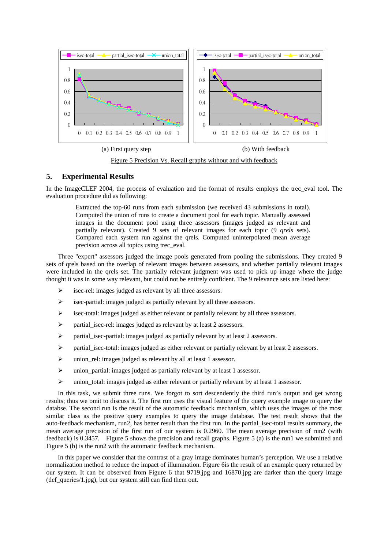

<span id="page-6-0"></span>Figure 5 Precision Vs. Recall graphs without and with feedback

# **5. Experimental Results**

In the ImageCLEF 2004, the process of evaluation and the format of results employs the trec\_eval tool. The evaluation procedure did as following:

Extracted the top-60 runs from each submission (we received 43 submissions in total). Computed the union of runs to create a document pool for each topic. Manually assessed images in the document pool using three assessors (images judged as relevant and partially relevant). Created 9 sets of relevant images for each topic (9 *qrels* sets). Compared each system run against the qrels. Computed uninterpolated mean average precision across all topics using trec\_eval.

Three "expert" assessors judged the image pools generated from pooling the submissions. They created 9 sets of qrels based on the overlap of relevant images between assessors, and whether partially relevant images were included in the qrels set. The partially relevant judgment was used to pick up image where the judge thought it was in some way relevant, but could not be entirely confident. The 9 relevance sets are listed here:

- ¾ isec-rel: images judged as relevant by all three assessors.
- ¾ isec-partial: images judged as partially relevant by all three assessors.
- $\triangleright$  isec-total: images judged as either relevant or partially relevant by all three assessors.
- ¾ partial\_isec-rel: images judged as relevant by at least 2 assessors.
- ¾ partial\_isec-partial: images judged as partially relevant by at least 2 assessors.
- $\triangleright$  partial isec-total: images judged as either relevant or partially relevant by at least 2 assessors.
- $\triangleright$  union rel: images judged as relevant by all at least 1 assessor.
- $\triangleright$  union partial: images judged as partially relevant by at least 1 assessor.
- $\triangleright$  union total: images judged as either relevant or partially relevant by at least 1 assessor.

In this task, we submit three runs. We forgot to sort descendently the third run's output and get wrong results; thus we omit to discuss it. The first run uses the visual feature of the query example image to query the databse. The second run is the result of the automatic feedback mechanism, which uses the images of the most similar class as the positive query examples to query the image database. The test result shows that the auto-feedback mechanism, run2, has better result than the first run. In the partial\_isec-total results summary, the mean average precision of the first run of our system is 0.2960. The mean average precision of run2 (with feedback) is 0.3457. [Figure 5](#page-6-0) shows the precision and recall graphs. [Figure 5](#page-6-0) (a) is the run1 we submitted and [Figure 5](#page-6-0) (b) is the run2 with the automatic feedback mechanism.

In this paper we consider that the contrast of a gray image dominates human's perception. We use a relative normalization method to reduce the impact of illumination. [Figure 6i](#page-7-0)s the result of an example query returned by our system. It can be observed from [Figure 6](#page-7-0) that 9719.jpg and 16870.jpg are darker than the query image  $(\text{def queries}/1.jpg)$ , but our system still can find them out.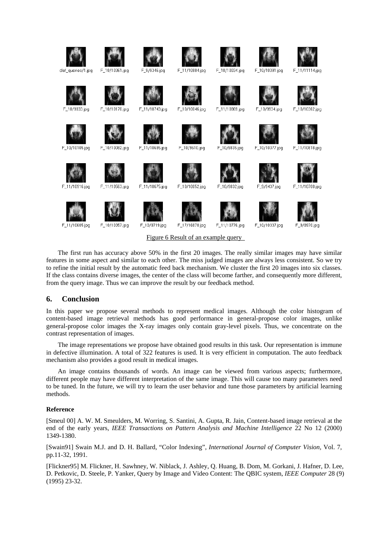

Figure 6 Result of an example query

<span id="page-7-0"></span>The first run has accuracy above 50% in the first 20 images. The really similar images may have similar features in some aspect and similar to each other. The miss judged images are always less consistent. So we try to refine the initial result by the automatic feed back mechanism. We cluster the first 20 images into six classes. If the class contains diverse images, the center of the class will become farther, and consequently more different, from the query image. Thus we can improve the result by our feedback method.

## **6. Conclusion**

In this paper we propose several methods to represent medical images. Although the color histogram of content-based image retrieval methods has good performance in general-propose color images, unlike general-propose color images the X-ray images only contain gray-level pixels. Thus, we concentrate on the contrast representation of images.

The image representations we propose have obtained good results in this task. Our representation is immune in defective illumination. A total of 322 features is used. It is very efficient in computation. The auto feedback mechanism also provides a good result in medical images.

An image contains thousands of words. An image can be viewed from various aspects; furthermore, different people may have different interpretation of the same image. This will cause too many parameters need to be tuned. In the future, we will try to learn the user behavior and tune those parameters by artificial learning methods.

#### **Reference**

[Smeul 00] A. W. M. Smeulders, M. Worring, S. Santini, A. Gupta, R. Jain, Content-based image retrieval at the end of the early years, *IEEE Transactions on Pattern Analysis and Machine Intelligence* 22 No 12 (2000) 1349-1380.

[Swain91] Swain M.J. and D. H. Ballard, "Color Indexing", *International Journal of Computer Vision,* Vol. 7, pp.11-32, 1991.

[Flickner95] M. Flickner, H. Sawhney, W. Niblack, J. Ashley, Q. Huang, B. Dom, M. Gorkani, J. Hafner, D. Lee, D. Petkovic, D. Steele, P. Yanker, Query by Image and Video Content: The QBIC system, *IEEE Computer* 28 (9) (1995) 23-32.